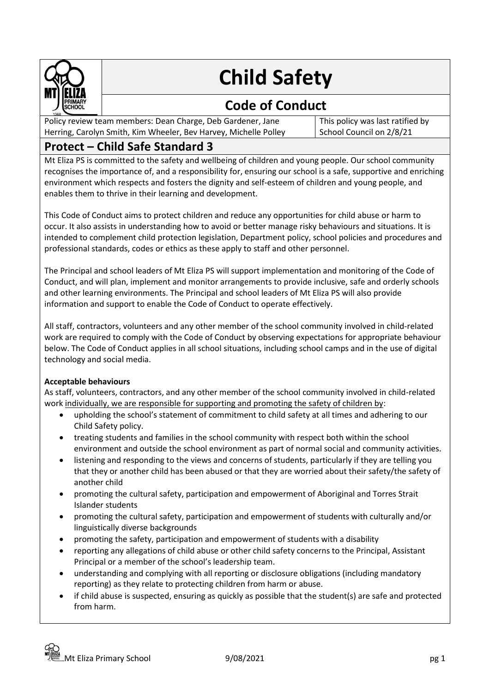

# **Child Safety**

## **Code of Conduct**

Policy review team members: Dean Charge, Deb Gardener, Jane Herring, Carolyn Smith, Kim Wheeler, Bev Harvey, Michelle Polley This policy was last ratified by School Council on 2/8/21

### **Protect – Child Safe Standard 3**

Mt Eliza PS is committed to the safety and wellbeing of children and young people. Our school community recognises the importance of, and a responsibility for, ensuring our school is a safe, supportive and enriching environment which respects and fosters the dignity and self-esteem of children and young people, and enables them to thrive in their learning and development.

This Code of Conduct aims to protect children and reduce any opportunities for child abuse or harm to occur. It also assists in understanding how to avoid or better manage risky behaviours and situations. It is intended to complement child protection legislation, Department policy, school policies and procedures and professional standards, codes or ethics as these apply to staff and other personnel.

The Principal and school leaders of Mt Eliza PS will support implementation and monitoring of the Code of Conduct, and will plan, implement and monitor arrangements to provide inclusive, safe and orderly schools and other learning environments. The Principal and school leaders of Mt Eliza PS will also provide information and support to enable the Code of Conduct to operate effectively.

All staff, contractors, volunteers and any other member of the school community involved in child-related work are required to comply with the Code of Conduct by observing expectations for appropriate behaviour below. The Code of Conduct applies in all school situations, including school camps and in the use of digital technology and social media.

#### **Acceptable behaviours**

As staff, volunteers, contractors, and any other member of the school community involved in child-related work individually, we are responsible for supporting and promoting the safety of children by:

- upholding the school's statement of commitment to child safety at all times and adhering to our Child Safety policy.
- treating students and families in the school community with respect both within the school environment and outside the school environment as part of normal social and community activities.
- listening and responding to the views and concerns of students, particularly if they are telling you that they or another child has been abused or that they are worried about their safety/the safety of another child
- promoting the cultural safety, participation and empowerment of Aboriginal and Torres Strait Islander students
- promoting the cultural safety, participation and empowerment of students with culturally and/or linguistically diverse backgrounds
- promoting the safety, participation and empowerment of students with a disability
- reporting any allegations of child abuse or other child safety concerns to the Principal, Assistant Principal or a member of the school's leadership team.
- understanding and complying with all reporting or disclosure obligations (including mandatory reporting) as they relate to protecting children from harm or abuse.
- if child abuse is suspected, ensuring as quickly as possible that the student(s) are safe and protected from harm.